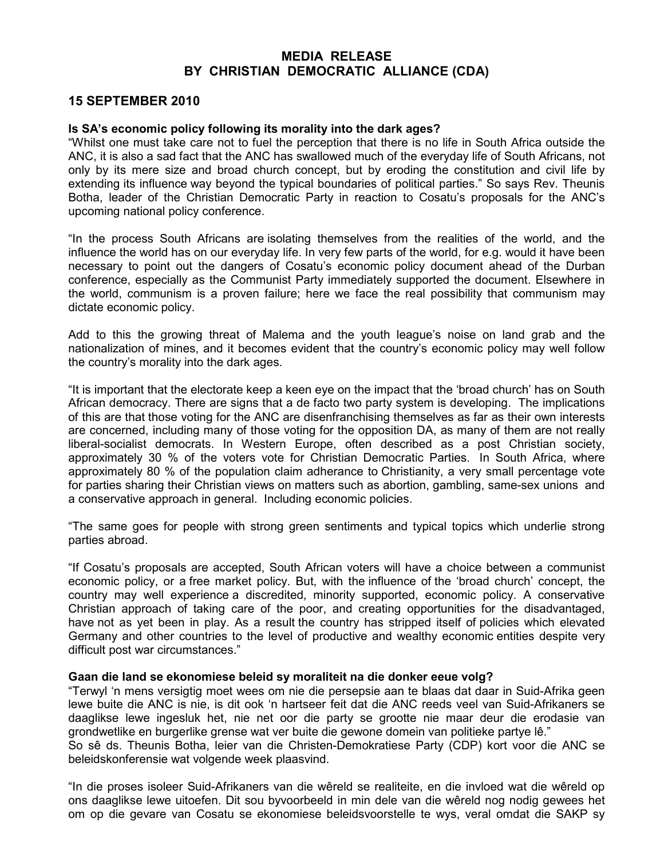## MEDIA RELEASE BY CHRISTIAN DEMOCRATIC ALLIANCE (CDA)

## 15 SEPTEMBER 2010

## Is SA's economic policy following its morality into the dark ages?

"Whilst one must take care not to fuel the perception that there is no life in South Africa outside the ANC, it is also a sad fact that the ANC has swallowed much of the everyday life of South Africans, not only by its mere size and broad church concept, but by eroding the constitution and civil life by extending its influence way beyond the typical boundaries of political parties." So says Rev. Theunis Botha, leader of the Christian Democratic Party in reaction to Cosatu's proposals for the ANC's upcoming national policy conference.

"In the process South Africans are isolating themselves from the realities of the world, and the influence the world has on our everyday life. In very few parts of the world, for e.g. would it have been necessary to point out the dangers of Cosatu's economic policy document ahead of the Durban conference, especially as the Communist Party immediately supported the document. Elsewhere in the world, communism is a proven failure; here we face the real possibility that communism may dictate economic policy.

Add to this the growing threat of Malema and the youth league's noise on land grab and the nationalization of mines, and it becomes evident that the country's economic policy may well follow the country's morality into the dark ages.

"It is important that the electorate keep a keen eye on the impact that the 'broad church' has on South African democracy. There are signs that a de facto two party system is developing. The implications of this are that those voting for the ANC are disenfranchising themselves as far as their own interests are concerned, including many of those voting for the opposition DA, as many of them are not really liberal-socialist democrats. In Western Europe, often described as a post Christian society, approximately 30 % of the voters vote for Christian Democratic Parties. In South Africa, where approximately 80 % of the population claim adherance to Christianity, a very small percentage vote for parties sharing their Christian views on matters such as abortion, gambling, same-sex unions and a conservative approach in general. Including economic policies.

"The same goes for people with strong green sentiments and typical topics which underlie strong parties abroad.

"If Cosatu's proposals are accepted, South African voters will have a choice between a communist economic policy, or a free market policy. But, with the influence of the 'broad church' concept, the country may well experience a discredited, minority supported, economic policy. A conservative Christian approach of taking care of the poor, and creating opportunities for the disadvantaged, have not as yet been in play. As a result the country has stripped itself of policies which elevated Germany and other countries to the level of productive and wealthy economic entities despite very difficult post war circumstances."

## Gaan die land se ekonomiese beleid sy moraliteit na die donker eeue volg?

"Terwyl 'n mens versigtig moet wees om nie die persepsie aan te blaas dat daar in Suid-Afrika geen lewe buite die ANC is nie, is dit ook 'n hartseer feit dat die ANC reeds veel van Suid-Afrikaners se daaglikse lewe ingesluk het, nie net oor die party se grootte nie maar deur die erodasie van grondwetlike en burgerlike grense wat ver buite die gewone domein van politieke partye lê." So sê ds. Theunis Botha, leier van die Christen-Demokratiese Party (CDP) kort voor die ANC se

beleidskonferensie wat volgende week plaasvind.

"In die proses isoleer Suid-Afrikaners van die wêreld se realiteite, en die invloed wat die wêreld op ons daaglikse lewe uitoefen. Dit sou byvoorbeeld in min dele van die wêreld nog nodig gewees het om op die gevare van Cosatu se ekonomiese beleidsvoorstelle te wys, veral omdat die SAKP sy